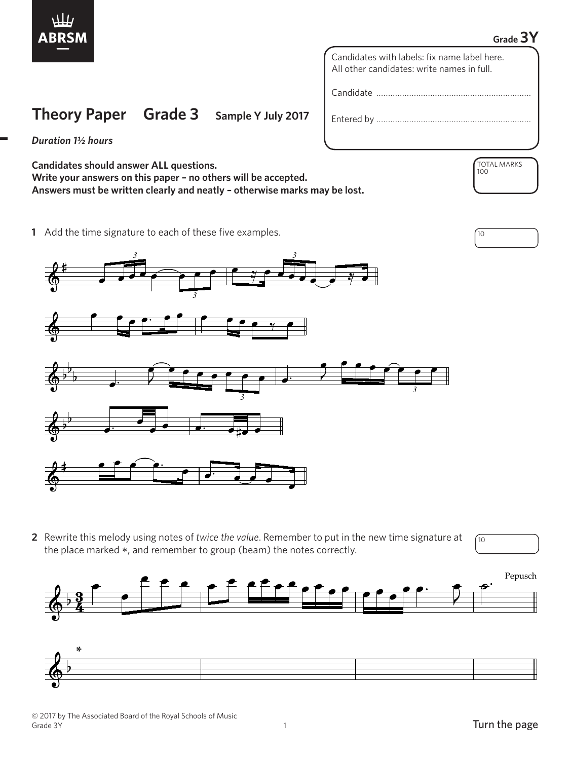

## **Grade 3Y**

TOTAL MARKS

100

Candidates with labels: fix name label here. All other candidates: write names in full.

Candidate …………………………………………………………

Entered by …………………………………………………………

*Duration 1½ hours*

**Candidates should answer ALL questions. Write your answers on this paper – no others will be accepted. Answers must be written clearly and neatly – otherwise marks may be lost.**

**Theory Paper Grade 3 Sample Y July 2017**

**1** Add the time signature to each of these five examples.  $\sqrt{10}$ 



**2** Rewrite this melody using notes of *twice the value*. Remember to put in the new time signature at the place marked \*, and remember to group (beam) the notes correctly.





10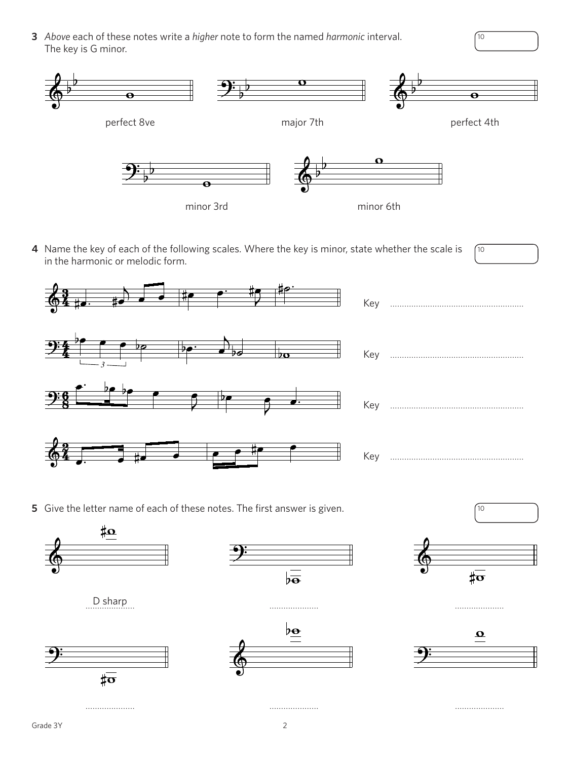3 Above each of these notes write a higher note to form the named harmonic interval. The key is G minor.



 $\int$ 10

 $\gamma$ 

4 Name the key of each of the following scales. Where the key is minor, state whether the scale is  $\sqrt{10}$ in the harmonic or melodic form.



5 Give the letter name of each of these notes. The first answer is given.

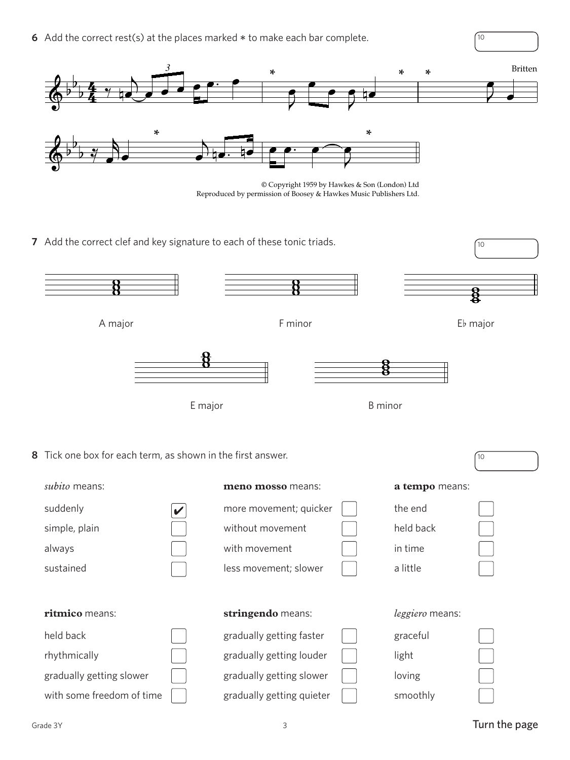**6** Add the correct rest(s) at the places marked  $*$  to make each bar complete.  $\sqrt{10}$ 



orission of Boosey & Hawkes Music Publishers Ltd Reproduced by permission of Boosey & Hawkes Music Publishers Ltd. Reproduced by permission of Boosey & Hawkes Music Publishers Ltd. © Copyright 1959 by Hawkes & Son (London) Ltd

**7** Add the correct clef and key signature to each of these tonic triads.



| <i>subito</i> means:      |             | meno mosso means:         | a tempo means:  |  |
|---------------------------|-------------|---------------------------|-----------------|--|
| suddenly                  | $\mathbf v$ | more movement; quicker    | the end         |  |
| simple, plain             |             | without movement          | held back       |  |
| always                    |             | with movement             | in time         |  |
| sustained                 |             | less movement; slower     | a little        |  |
|                           |             |                           |                 |  |
|                           |             |                           |                 |  |
| ritmico means:            |             | stringendo means:         | leggiero means: |  |
| held back                 |             | gradually getting faster  | graceful        |  |
| rhythmically              |             | gradually getting louder  | light           |  |
| gradually getting slower  |             | gradually getting slower  | loving          |  |
| with some freedom of time |             | gradually getting quieter | smoothly        |  |